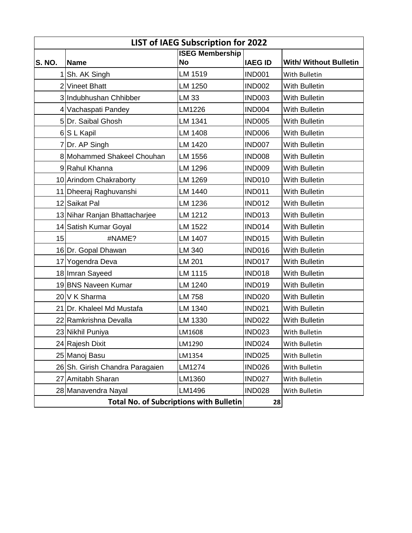| LIST of IAEG Subscription for 2022             |                                 |                                     |                |                               |  |
|------------------------------------------------|---------------------------------|-------------------------------------|----------------|-------------------------------|--|
| <b>S. NO.</b>                                  | <b>Name</b>                     | <b>ISEG Membership</b><br><b>No</b> | <b>IAEG ID</b> | <b>With/ Without Bulletin</b> |  |
| 1                                              | Sh. AK Singh                    | LM 1519                             | <b>IND001</b>  | With Bulletin                 |  |
|                                                | 2 Vineet Bhatt                  | LM 1250                             | <b>IND002</b>  | With Bulletin                 |  |
|                                                | 3 Indubhushan Chhibber          | LM 33                               | <b>IND003</b>  | With Bulletin                 |  |
|                                                | 4 Vachaspati Pandey             | LM1226                              | <b>IND004</b>  | <b>With Bulletin</b>          |  |
|                                                | 5Dr. Saibal Ghosh               | LM 1341                             | <b>IND005</b>  | <b>With Bulletin</b>          |  |
|                                                | 6S L Kapil                      | LM 1408                             | <b>IND006</b>  | <b>With Bulletin</b>          |  |
|                                                | 7 Dr. AP Singh                  | LM 1420                             | <b>IND007</b>  | With Bulletin                 |  |
|                                                | 8 Mohammed Shakeel Chouhan      | LM 1556                             | <b>IND008</b>  | With Bulletin                 |  |
|                                                | 9Rahul Khanna                   | LM 1296                             | <b>IND009</b>  | With Bulletin                 |  |
|                                                | 10 Arindom Chakraborty          | LM 1269                             | <b>IND010</b>  | <b>With Bulletin</b>          |  |
|                                                | 11 Dheeraj Raghuvanshi          | LM 1440                             | <b>IND011</b>  | <b>With Bulletin</b>          |  |
|                                                | 12 Saikat Pal                   | LM 1236                             | <b>IND012</b>  | <b>With Bulletin</b>          |  |
|                                                | 13 Nihar Ranjan Bhattacharjee   | LM 1212                             | <b>IND013</b>  | With Bulletin                 |  |
|                                                | 14 Satish Kumar Goyal           | LM 1522                             | <b>IND014</b>  | <b>With Bulletin</b>          |  |
| 15                                             | #NAME?                          | LM 1407                             | <b>IND015</b>  | <b>With Bulletin</b>          |  |
|                                                | 16 Dr. Gopal Dhawan             | LM 340                              | <b>IND016</b>  | <b>With Bulletin</b>          |  |
|                                                | 17 Yogendra Deva                | LM 201                              | <b>IND017</b>  | With Bulletin                 |  |
|                                                | 18 Imran Sayeed                 | LM 1115                             | <b>IND018</b>  | With Bulletin                 |  |
|                                                | 19BNS Naveen Kumar              | LM 1240                             | <b>IND019</b>  | With Bulletin                 |  |
|                                                | 20 V K Sharma                   | LM 758                              | <b>IND020</b>  | With Bulletin                 |  |
|                                                | 21 Dr. Khaleel Md Mustafa       | LM 1340                             | <b>IND021</b>  | With Bulletin                 |  |
|                                                | 22 Ramkrishna Devalla           | LM 1330                             | <b>IND022</b>  | With Bulletin                 |  |
|                                                | 23 Nikhil Puniya                | LM1608                              | <b>IND023</b>  | With Bulletin                 |  |
|                                                | 24 Rajesh Dixit                 | LM1290                              | <b>IND024</b>  | With Bulletin                 |  |
|                                                | 25 Manoj Basu                   | LM1354                              | <b>IND025</b>  | With Bulletin                 |  |
|                                                | 26 Sh. Girish Chandra Paragaien | LM1274                              | <b>IND026</b>  | With Bulletin                 |  |
|                                                | 27 Amitabh Sharan               | LM1360                              | <b>IND027</b>  | With Bulletin                 |  |
|                                                | 28 Manavendra Nayal             | LM1496                              | <b>IND028</b>  | With Bulletin                 |  |
| <b>Total No. of Subcriptions with Bulletin</b> |                                 |                                     | 28             |                               |  |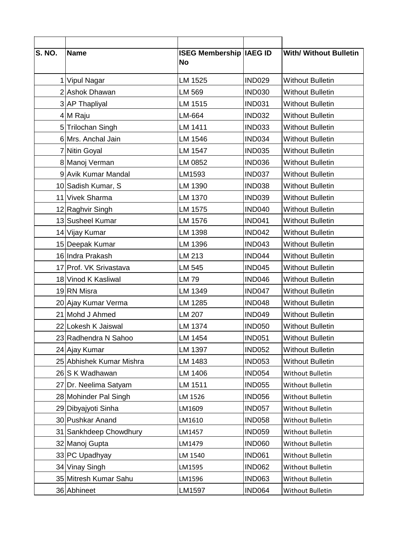| $\overline{\mathsf{S}}$ . NO. | <b>Name</b>              | <b>ISEG Membership IAEG ID</b><br><b>No</b> |               | <b>With/ Without Bulletin</b> |
|-------------------------------|--------------------------|---------------------------------------------|---------------|-------------------------------|
|                               | 1 Vipul Nagar            | LM 1525                                     | <b>IND029</b> | <b>Without Bulletin</b>       |
|                               | 2 Ashok Dhawan           | LM 569                                      | <b>IND030</b> | <b>Without Bulletin</b>       |
|                               | 3 AP Thapliyal           | LM 1515                                     | <b>IND031</b> | <b>Without Bulletin</b>       |
|                               | 4 M Raju                 | LM-664                                      | <b>IND032</b> | <b>Without Bulletin</b>       |
|                               | 5 Trilochan Singh        | LM 1411                                     | <b>IND033</b> | <b>Without Bulletin</b>       |
|                               | 6 Mrs. Anchal Jain       | LM 1546                                     | <b>IND034</b> | Without Bulletin              |
|                               | 7 Nitin Goyal            | LM 1547                                     | <b>IND035</b> | Without Bulletin              |
|                               | 8 Manoj Verman           | LM 0852                                     | <b>IND036</b> | Without Bulletin              |
|                               | 9 Avik Kumar Mandal      | LM1593                                      | <b>IND037</b> | <b>Without Bulletin</b>       |
|                               | 10 Sadish Kumar, S       | LM 1390                                     | <b>IND038</b> | <b>Without Bulletin</b>       |
|                               | 11 Vivek Sharma          | LM 1370                                     | <b>IND039</b> | <b>Without Bulletin</b>       |
|                               | 12 Raghvir Singh         | LM 1575                                     | <b>IND040</b> | <b>Without Bulletin</b>       |
|                               | 13 Susheel Kumar         | LM 1576                                     | <b>IND041</b> | <b>Without Bulletin</b>       |
|                               | 14 Vijay Kumar           | LM 1398                                     | <b>IND042</b> | <b>Without Bulletin</b>       |
|                               | 15 Deepak Kumar          | LM 1396                                     | <b>IND043</b> | <b>Without Bulletin</b>       |
|                               | 16 Indra Prakash         | LM 213                                      | <b>IND044</b> | <b>Without Bulletin</b>       |
|                               | 17 Prof. VK Srivastava   | LM 545                                      | <b>IND045</b> | Without Bulletin              |
|                               | 18 Vinod K Kasliwal      | <b>LM79</b>                                 | <b>IND046</b> | <b>Without Bulletin</b>       |
|                               | 19RN Misra               | LM 1349                                     | <b>IND047</b> | <b>Without Bulletin</b>       |
|                               | 20 Ajay Kumar Verma      | LM 1285                                     | <b>IND048</b> | <b>Without Bulletin</b>       |
|                               | 21 Mohd J Ahmed          | LM 207                                      | <b>IND049</b> | <b>Without Bulletin</b>       |
|                               | 22 Lokesh K Jaiswal      | LM 1374                                     | <b>IND050</b> | <b>Without Bulletin</b>       |
|                               | 23 Radhendra N Sahoo     | LM 1454                                     | <b>IND051</b> | <b>Without Bulletin</b>       |
|                               | 24 Ajay Kumar            | LM 1397                                     | <b>IND052</b> | <b>Without Bulletin</b>       |
|                               | 25 Abhishek Kumar Mishra | LM 1483                                     | <b>IND053</b> | <b>Without Bulletin</b>       |
|                               | 26 S K Wadhawan          | LM 1406                                     | <b>IND054</b> | Without Bulletin              |
|                               | 27 Dr. Neelima Satyam    | LM 1511                                     | <b>IND055</b> | Without Bulletin              |
|                               | 28 Mohinder Pal Singh    | LM 1526                                     | <b>IND056</b> | Without Bulletin              |
|                               | 29 Dibyajyoti Sinha      | LM1609                                      | <b>IND057</b> | Without Bulletin              |
|                               | 30 Pushkar Anand         | LM1610                                      | <b>IND058</b> | Without Bulletin              |
|                               | 31 Sankhdeep Chowdhury   | LM1457                                      | <b>IND059</b> | Without Bulletin              |
|                               | 32 Manoj Gupta           | LM1479                                      | <b>IND060</b> | Without Bulletin              |
|                               | 33 PC Upadhyay           | LM 1540                                     | <b>IND061</b> | Without Bulletin              |
|                               | 34 Vinay Singh           | LM1595                                      | <b>IND062</b> | Without Bulletin              |
|                               | 35 Mitresh Kumar Sahu    | LM1596                                      | <b>IND063</b> | Without Bulletin              |
|                               | 36 Abhineet              | LM1597                                      | <b>IND064</b> | Without Bulletin              |